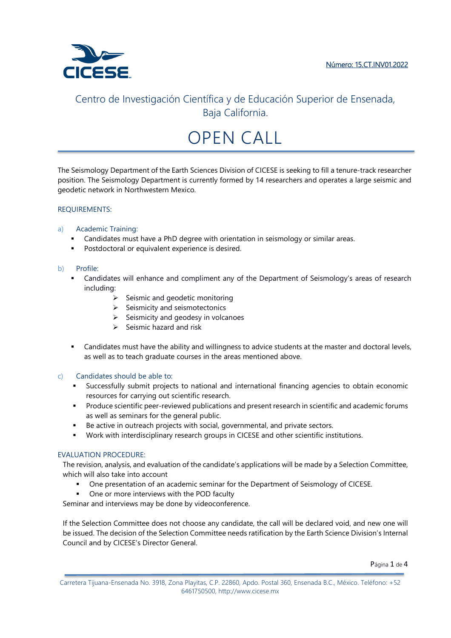

# OPEN CALL

The Seismology Department of the Earth Sciences Division of CICESE is seeking to fill a tenure-track researcher position. The Seismology Department is currently formed by 14 researchers and operates a large seismic and geodetic network in Northwestern Mexico.

## REQUIREMENTS:

## a) Academic Training:

- Candidates must have a PhD degree with orientation in seismology or similar areas.
- **Postdoctoral or equivalent experience is desired.**

### b) Profile:

- Candidates will enhance and compliment any of the Department of Seismology's areas of research including:
	- $\triangleright$  Seismic and geodetic monitoring
	- $\triangleright$  Seismicity and seismotectonics
	- $\triangleright$  Seismicity and geodesy in volcanoes
	- $\triangleright$  Seismic hazard and risk
- Candidates must have the ability and willingness to advice students at the master and doctoral levels, as well as to teach graduate courses in the areas mentioned above.

### c) Candidates should be able to:

- Successfully submit projects to national and international financing agencies to obtain economic resources for carrying out scientific research.
- **Produce scientific peer-reviewed publications and present research in scientific and academic forums** as well as seminars for the general public.
- Be active in outreach projects with social, governmental, and private sectors.
- Work with interdisciplinary research groups in CICESE and other scientific institutions.

### EVALUATION PROCEDURE:

The revision, analysis, and evaluation of the candidate's applications will be made by a Selection Committee, which will also take into account

- One presentation of an academic seminar for the Department of Seismology of CICESE.
- One or more interviews with the POD faculty

Seminar and interviews may be done by videoconference.

If the Selection Committee does not choose any candidate, the call will be declared void, and new one will be issued. The decision of the Selection Committee needs ratification by the Earth Science Division's Internal Council and by CICESE's Director General.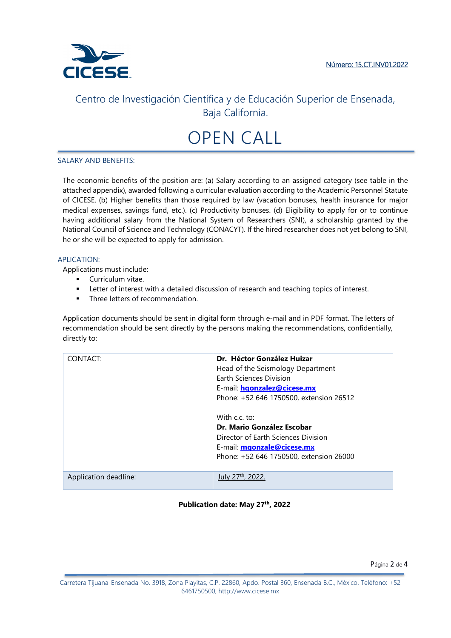

# OPEN CALL

#### SALARY AND BENEFITS:

The economic benefits of the position are: (a) Salary according to an assigned category (see table in the attached appendix), awarded following a curricular evaluation according to the Academic Personnel Statute of CICESE. (b) Higher benefits than those required by law (vacation bonuses, health insurance for major medical expenses, savings fund, etc.). (c) Productivity bonuses. (d) Eligibility to apply for or to continue having additional salary from the National System of Researchers (SNI), a scholarship granted by the National Council of Science and Technology (CONACYT). If the hired researcher does not yet belong to SNI, he or she will be expected to apply for admission.

#### APLICATION:

Applications must include:

- **Curriculum vitae.**
- Letter of interest with a detailed discussion of research and teaching topics of interest.
- **Three letters of recommendation.**

Application documents should be sent in digital form through e-mail and in PDF format. The letters of recommendation should be sent directly by the persons making the recommendations, confidentially, directly to:

| CONTACT:              | Dr. Héctor González Huizar<br>Head of the Seismology Department<br><b>Farth Sciences Division</b><br>E-mail: <b>hgonzalez@cicese.mx</b><br>Phone: +52 646 1750500, extension 26512<br>With c.c. to:<br>Dr. Mario González Escobar<br>Director of Earth Sciences Division<br>E-mail: mgonzale@cicese.mx<br>Phone: +52 646 1750500, extension 26000 |
|-----------------------|---------------------------------------------------------------------------------------------------------------------------------------------------------------------------------------------------------------------------------------------------------------------------------------------------------------------------------------------------|
| Application deadline: |                                                                                                                                                                                                                                                                                                                                                   |

### **Publication date: May 27th, 2022**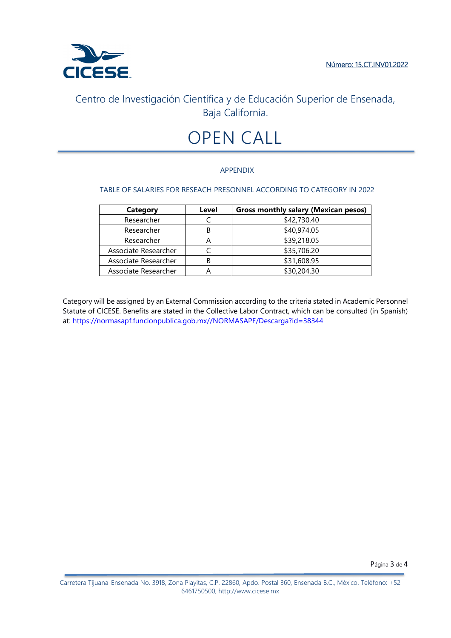

# OPEN CALL

## APPENDIX

## TABLE OF SALARIES FOR RESEACH PRESONNEL ACCORDING TO CATEGORY IN 2022

| <b>Category</b>      | Level | <b>Gross monthly salary (Mexican pesos)</b> |
|----------------------|-------|---------------------------------------------|
| Researcher           |       | \$42,730.40                                 |
| Researcher           | В     | \$40,974.05                                 |
| Researcher           | А     | \$39,218.05                                 |
| Associate Researcher |       | \$35,706.20                                 |
| Associate Researcher | В     | \$31,608.95                                 |
| Associate Researcher |       | \$30,204.30                                 |

Category will be assigned by an External Commission according to the criteria stated in Academic Personnel Statute of CICESE. Benefits are stated in the Collective Labor Contract, which can be consulted (in Spanish) at: https://normasapf.funcionpublica.gob.mx//NORMASAPF/Descarga?id=38344